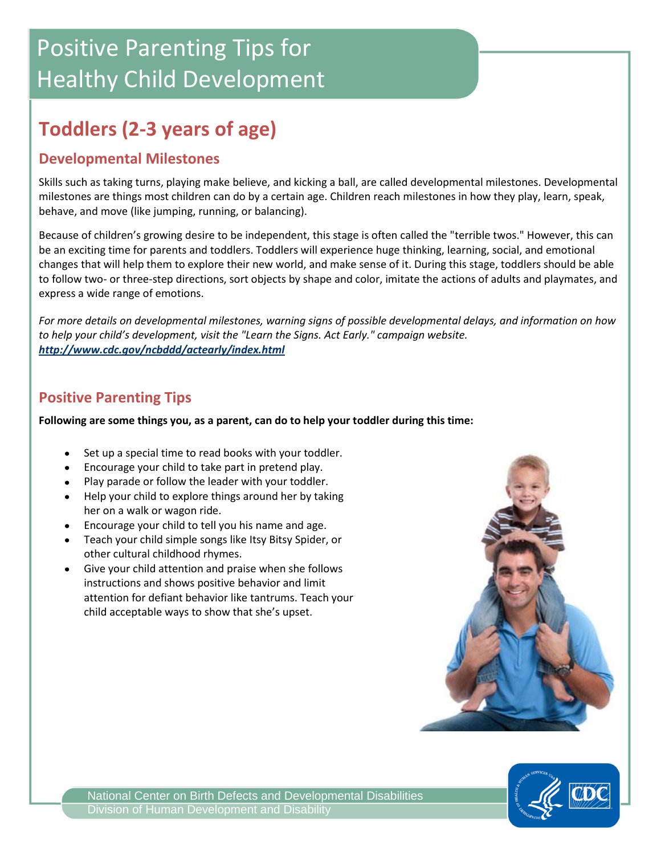# Positive Parenting Tips for Healthy Child Development

## **Toddlers (2-3 years of age)**

#### **Developmental Milestones**

Skills such as taking turns, playing make believe, and kicking a ball, are called developmental milestones. Developmental milestones are things most children can do by a certain age. Children reach milestones in how they play, learn, speak, behave, and move (like jumping, running, or balancing).

Because of children's growing desire to be independent, this stage is often called the "terrible twos." However, this can be an exciting time for parents and toddlers. Toddlers will experience huge thinking, learning, social, and emotional changes that will help them to explore their new world, and make sense of it. During this stage, toddlers should be able to follow two- or three-step directions, sort objects by shape and color, imitate the actions of adults and playmates, and express a wide range of emotions.

*For more details on developmental milestones, warning signs of possible developmental delays, and information on how to help your child's development, visit the "Learn the Signs. Act Early." campaign website. <http://www.cdc.gov/ncbddd/actearly/index.html>*

#### **Positive Parenting Tips**

**Following are some things you, as a parent, can do to help your toddler during this time:**

- Set up a special time to read books with your toddler.
- Encourage your child to take part in pretend play.
- Play parade or follow the leader with your toddler.
- Help your child to explore things around her by taking her on a walk or wagon ride.
- Encourage your child to tell you his name and age.
- Teach your child simple songs like Itsy Bitsy Spider, or other cultural childhood rhymes.
- Give your child attention and praise when she follows  $\bullet$ instructions and shows positive behavior and limit attention for defiant behavior like tantrums. Teach your child acceptable ways to show that she's upset.